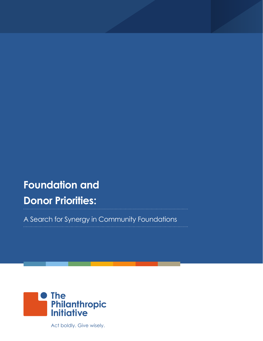# **Foundation and Donor Priorities:**

A Search for Synergy in Community Foundations



Act boldly. Give wisely.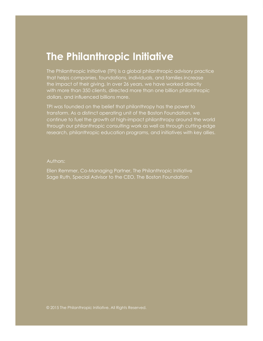## **The Philanthropic Initiative**

The Philanthropic Initiative (TPI) is a global philanthropic advisory practice that helps companies, foundations, individuals, and families increase the impact of their giving. In over 26 years, we have worked directly with more than 350 clients, directed more than one billion philanthropic dollars, and influenced billions more.

TPI was founded on the belief that philanthropy has the power to transform. As a distinct operating unit of the Boston Foundation, we continue to fuel the growth of high-impact philanthropy around the world through our philanthropic consulting work as well as through cutting-edge research, philanthropic education programs, and initiatives with key allies.

#### Authors:

Ellen Remmer, Co-Managing Partner, The Philanthropic Initiative Sage Ruth, Special Advisor to the CEO, The Boston Foundation

© 2015 The Philanthropic Initiative. All Rights Reserved.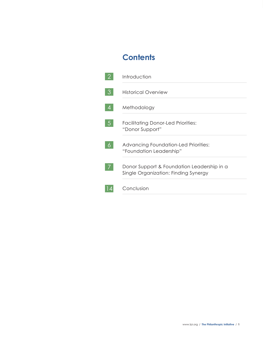## **Contents**

|   | Introduction                                                                       |
|---|------------------------------------------------------------------------------------|
| 3 | Historical Overview                                                                |
|   | Methodology                                                                        |
|   | <b>Facilitating Donor-Led Priorities:</b><br>"Donor Support"                       |
|   | Advancing Foundation-Led Priorities:<br>"Foundation Leadership"                    |
|   | Donor Support & Foundation Leadership in a<br>Single Organization: Finding Synergy |
|   | Conclusion                                                                         |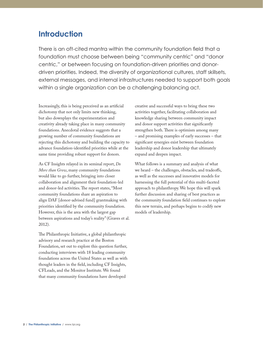## **Introduction**

There is an oft-cited mantra within the community foundation field that a foundation must choose between being "community centric" and "donor centric," or between focusing on foundation-driven priorities and donordriven priorities. Indeed, the diversity of organizational cultures, staff skillsets, external messages, and internal infrastructures needed to support both goals within a single organization can be a challenging balancing act.

Increasingly, this is being perceived as an artificial dichotomy that not only limits new thinking, but also downplays the experimentation and creativity already taking place in many community foundations. Anecdotal evidence suggests that a growing number of community foundations are rejecting this dichotomy and building the capacity to advance foundation-identified priorities while at the same time providing robust support for donors.

As CF Insights relayed in its seminal report, *Do More than Grow*, many community foundations would like to go further, bringing into closer collaboration and alignment their foundation-led and donor-led activities. The report states, "Most community foundations share an aspiration to align DAF [donor-advised fund] grantmaking with priorities identified by the community foundation. However, this is the area with the largest gap between aspirations and today's reality" (Graves et al. 2012).

The Philanthropic Initiative, a global philanthropic advisory and research practice at the Boston Foundation, set out to explore this question further, conducting interviews with 18 leading community foundations across the United States as well as with thought leaders in the field, including CF Insights, CFLeads, and the Monitor Institute. We found that many community foundations have developed

creative and successful ways to bring these two activities together, facilitating collaboration and knowledge sharing between community impact and donor support activities that significantly strengthen both. There is optimism among many – and promising examples of early successes – that significant synergies exist between foundation leadership and donor leadership that ultimately expand and deepen impact.

What follows is a summary and analysis of what we heard – the challenges, obstacles, and tradeoffs, as well as the successes and innovative models for harnessing the full potential of this multi-faceted approach to philanthropy. We hope this will spark further discussion and sharing of best practices as the community foundation field continues to explore this new terrain, and perhaps begins to codify new models of leadership.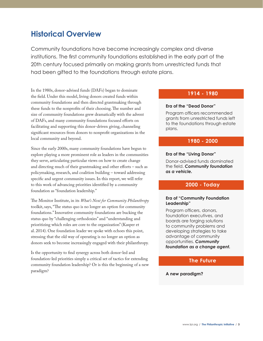## **Historical Overview**

Community foundations have become increasingly complex and diverse institutions. The first community foundations established in the early part of the 20th century focused primarily on making grants from unrestricted funds that had been gifted to the foundations through estate plans.

In the 1980s, donor-advised funds (DAFs) began to dominate the field. Under this model, living donors created funds within community foundations and then directed grantmaking through these funds to the nonprofits of their choosing. The number and size of community foundations grew dramatically with the advent of DAFs, and many community foundations focused efforts on facilitating and supporting this donor-driven giving, channeling significant resources from donors to nonprofit organizations in the local community and beyond.

Since the early 2000s, many community foundations have begun to explore playing a more prominent role as leaders in the communities they serve, articulating particular views on how to create change and directing much of their grantmaking and other efforts – such as policymaking, research, and coalition building – toward addressing specific and urgent community issues. In this report, we will refer to this work of advancing priorities identified by a community foundation as "foundation leadership."

The Monitor Institute, in its *What's Next for Community Philanthropy* toolkit, says, "The status quo is no longer an option for community foundations." Innovative community foundations are bucking the status quo by "challenging orthodoxies" and "understanding and prioritizing which roles are core to the organization" (Kasper et al. 2014). One foundation leader we spoke with echoes this point, stressing that the old way of operating is no longer an option as donors seek to become increasingly engaged with their philanthropy.

Is the opportunity to find synergy across both donor-led and foundation-led priorities simply a critical set of tactics for extending community foundation leadership? Or is this the beginning of a new paradigm?

### **1914 - 1980**

#### **Era of the "Dead Donor"**

Program officers recommended grants from unrestricted funds left to the foundations through estate plans.

#### **1980 - 2000**

#### **Era of the "Living Donor"**

Donor-advised funds dominated the field. *Community foundation as a vehicle.*

#### **2000 - Today**

#### **Era of "Community Foundation Leadership"**

Program officers, donors, foundation executives, and boards are forging solutions to community problems and developing strategies to take advantage of community opportunities. *Community foundation as a change agent.*

### **The Future**

#### **A new paradigm?**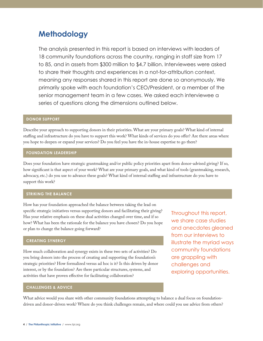## **Methodology**

The analysis presented in this report is based on interviews with leaders of 18 community foundations across the country, ranging in staff size from 17 to 85, and in assets from \$300 million to \$4.7 billion. Interviewees were asked to share their thoughts and experiences in a not-for-attribution context, meaning any responses shared in this report are done so anonymously. We primarily spoke with each foundation's CEO/President, or a member of the senior management team in a few cases. We asked each interviewee a series of questions along the dimensions outlined below.

#### **DONOR SUPPORT**

Describe your approach to supporting donors in their priorities. What are your primary goals? What kind of internal staffing and infrastructure do you have to support this work? What kinds of services do you offer? Are there areas where you hope to deepen or expand your services? Do you feel you have the in-house expertise to go there?

#### **FOUNDATION LEADERSHIP**

Does your foundation have strategic grantmaking and/or public policy priorities apart from donor-advised giving? If so, how significant is that aspect of your work? What are your primary goals, and what kind of tools (grantmaking, research, advocacy, etc.) do you use to advance these goals? What kind of internal staffing and infrastructure do you have to support this work?

#### **STRIKING THE BALANCE**

How has your foundation approached the balance between taking the lead on specific strategic initiatives versus supporting donors and facilitating their giving? Has your relative emphasis on these dual activities changed over time, and if so how? What has been the rationale for the balance you have chosen? Do you hope or plan to change the balance going forward?

#### **CREATING SYNERGY**

How much collaboration and synergy exists in these two sets of activities? Do you bring donors into the process of creating and supporting the foundation's strategic priorities? How formalized versus ad hoc is it? Is this driven by donor interest, or by the foundation? Are there particular structures, systems, and activities that have proven effective for facilitating collaboration?

**CHALLENGES & ADVICE**

What advice would you share with other community foundations attempting to balance a dual focus on foundationdriven and donor-driven work? Where do you think challenges remain, and where could you use advice from others?

Throughout this report, we share case studies and anecdotes gleaned from our interviews to illustrate the myriad ways community foundations are grappling with challenges and exploring opportunities.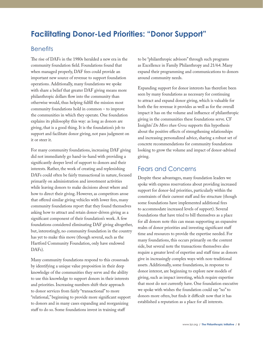## **Facilitating Donor-Led Priorities: "Donor Support"**

### **Benefits**

The rise of DAFs in the 1980s heralded a new era in the community foundation field. Foundations found that when managed properly, DAF fees could provide an important new source of revenue to support foundation operations. Additionally, many foundations we spoke with share a belief that greater DAF giving means more philanthropic dollars flow into the community than otherwise would, thus helping fulfill the mission most community foundations hold in common – to improve the communities in which they operate. One foundation explains its philosophy this way: as long as donors are giving, that is a good thing. It is the foundation's job to support and facilitate donor giving, not pass judgment on it or steer it.

For many community foundations, increasing DAF giving did not immediately go hand-in-hand with providing a significantly deeper level of support to donors and their interests. Rather, the work of creating and replenishing DAFs could often be fairly transactional in nature, focused primarily on administration and investment activities while leaving donors to make decisions about where and how to direct their giving. However, as competitors arose that offered similar giving vehicles with lower fees, many community foundations report that they found themselves asking how to attract and retain donor-driven giving as a significant component of their foundation's work. A few foundations considered eliminating DAF giving altogether, but, interestingly, no community foundation in the country has yet to make this move (though several, such as the Hartford Community Foundation, only have endowed DAFs).

Many community foundations respond to this crossroads by identifying a unique value proposition in their deep knowledge of the communities they serve and the ability to use this knowledge to support donors in their interests and priorities. Increasing numbers shift their approach to donor services from fairly "transactional" to more "relational," beginning to provide more significant support to donors and in many cases expanding and reorganizing staff to do so. Some foundations invest in training staff

to be "philanthropic advisors" through such programs as Excellence in Family Philanthropy and 21/64. Many expand their programming and communications to donors around community needs.

Expanding support for donor interests has therefore been seen by many foundations as necessary for continuing to attract and expand donor giving, which is valuable for both the fee revenue it provides as well as for the overall impact it has on the volume and influence of philanthropic giving in the communities these foundations serve. CF Insights' *Do More than Grow* supports this hypothesis about the positive effects of strengthening relationships and increasing personalized advice, sharing a robust set of concrete recommendations for community foundations looking to grow the volume and impact of donor-advised giving.

### Fears and Concerns

Despite these advantages, many foundation leaders we spoke with express reservations about providing increased support for donor-led priorities, particularly within the constraints of their current staff and fee structure (though some foundations have implemented additional fees to accommodate increased levels of support). Several foundations that have tried to bill themselves as a place for all donors note this can mean supporting an expansive realm of donor priorities and investing significant staff time and resources to provide the expertise needed. For many foundations, this occurs primarily on the content side, but several note the transactions themselves also require a greater level of expertise and staff time as donors give in increasingly complex ways with non-traditional assets. Additionally, some foundations, in response to donor interest, are beginning to explore new models of giving, such as impact investing, which require expertise that most do not currently have. One foundation executive we spoke with wishes the foundation could say "no" to donors more often, but finds it difficult now that it has established a reputation as a place for all interests.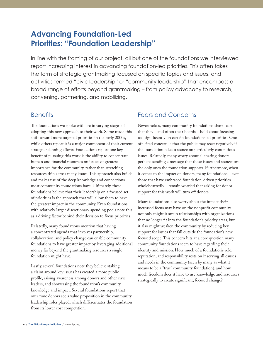## **Advancing Foundation-Led Priorities: "Foundation Leadership"**

In line with the framing of our project, all but one of the foundations we interviewed report increasing interest in advancing foundation-led priorities. This often takes the form of strategic grantmaking focused on specific topics and issues, and activities termed "civic leadership" or "community leadership" that encompass a broad range of efforts beyond grantmaking – from policy advocacy to research, convening, partnering, and mobilizing.

### **Benefits**

The foundations we spoke with are in varying stages of adopting this new approach to their work. Some made this shift toward more targeted priorities in the early 2000s, while others report it is a major component of their current strategic planning efforts. Foundations report one key benefit of pursuing this work is the ability to concentrate human and financial resources on issues of greatest importance for the community, rather than stretching resources thin across many issues. This approach also builds and makes use of the deep knowledge and connections most community foundations have. Ultimately, these foundations believe that their leadership on a focused set of priorities is the approach that will allow them to have the greatest impact in the community. Even foundations with relatively larger discretionary spending pools note this as a driving factor behind their decision to focus priorities.

Relatedly, many foundations mention that having a concentrated agenda that involves partnership, collaboration, and policy change can enable community foundations to have greater impact by leveraging additional money far beyond the grantmaking resources a single foundation might have.

Lastly, several foundations note they believe staking a claim around key issues has created a more public profile, raising awareness among donors and other civic leaders, and showcasing the foundation's community knowledge and impact. Several foundations report that over time donors see a value proposition in the community leadership roles played, which differentiates the foundation from its lower cost competition.

### Fears and Concerns

Nevertheless, many community foundations share fears that they – and often their boards – hold about focusing too significantly on certain foundation-led priorities. One oft-cited concern is that the public may react negatively if the foundation takes a stance on particularly contentious issues. Relatedly, many worry about alienating donors, perhaps sending a message that these issues and stances are the only ones the foundation supports. Furthermore, when it comes to the impact on donors, many foundations – even those that have embraced foundation-driven priorities wholeheartedly – remain worried that asking for donor support for this work will turn off donors.

Many foundations also worry about the impact their increased focus may have on the nonprofit community – not only might it strain relationships with organizations that no longer fit into the foundation's priority areas, but it also might weaken the community by reducing key support for issues that fall outside the foundation's new focused scope. This concern hits at a core question many community foundations seem to have regarding their identity and mission. How much of a foundation's role, reputation, and responsibility rests on it serving all causes and needs in the community (seen by many as what it means to be a "true" community foundation), and how much freedom does it have to use knowledge and resources strategically to create significant, focused change?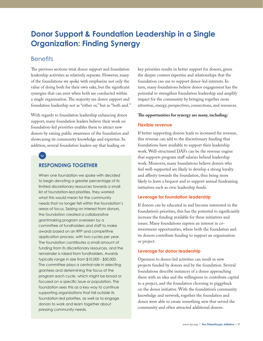## **Donor Support & Foundation Leadership in a Single Organization: Finding Synergy**

### **Benefits**

 $\checkmark$ 

The previous sections treat donor support and foundation leadership activities as relatively separate. However, many of the foundations we spoke with emphasize not only the value of doing both for their own sake, but the significant synergies that can exist when both are conducted within a single organization. The majority see donor support and foundation leadership not as "either or," but as "both and."

With regards to foundation leadership enhancing donor support, many foundation leaders believe their work on foundation-led priorities enables them to attract new donors by raising public awareness of the foundation and showcasing its community knowledge and expertise. In addition, several foundation leaders say that leading on

### **RESPONDING TOGETHER**

When one foundation we spoke with decided to begin devoting a greater percentage of its limited discretionary resources towards a small list of foundation-led priorities, they worried what this would mean for the community needs that no longer fell within the foundation's areas of focus. Seizing on interest from donors, the foundation created a collaborative grantmaking program overseen by a committee of fundholders and staff to make awards based on an RFP and competitive application process, with two cycles per year. The foundation contributes a small amount of funding from its discretionary resources, and the remainder is raised from fundholders. Awards typically range in size from \$10,000 - \$50,000. The committee plays a central role in selecting grantees and determining the focus of the program each cycle, which might be broad or focused on a specific issue or population. The foundation sees this as a key way to continue supporting organizations that fall outside its foundation-led priorities, as well as to engage donors to work and learn together about pressing community needs.

key priorities results in better support for donors, given the deeper content expertise and relationships that the foundation can use to support donor-led interests. In turn, many foundations believe donor engagement has the potential to strengthen foundation leadership and amplify impact for the community by bringing together more attention, energy, perspectives, connections, and resources.

#### **The opportunities for synergy are many, including:**

#### **Flexible revenue**

If better supporting donors leads to increased fee revenue, this revenue can add to the discretionary funding that foundations have available to support their leadership work. Well-structured DAFs can be the revenue engine that supports program staff salaries behind leadership work. Moreover, many foundations believe donors who feel well-supported are likely to develop a strong loyalty and affinity towards the foundation, thus being more likely to leave a bequest and to support annual fundraising initiatives such as civic leadership funds.

#### **Leverage for foundation leadership**

If donors can be educated in and become interested in the foundation's priorities, this has the potential to significantly increase the funding available for these initiatives and issues. Many foundations express an interest in coinvestment opportunities, where both the foundation and its donors contribute funding to support an organization or project.

#### **Leverage for donor leadership**

Openness to donor-led activities can result in new projects funded by donors and by the foundation. Several foundations describe instances of a donor approaching them with an idea and the willingness to contribute capital to a project, and the foundation choosing to piggyback on the donor initiative. With the foundation's community knowledge and network, together the foundation and donor were able to create something new that served the community and often attracted additional donors.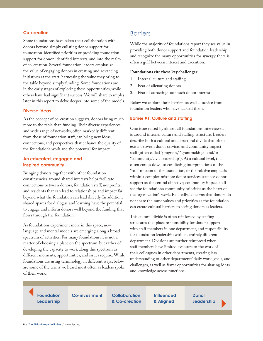#### **Co-creation**

Some foundations have taken their collaboration with donors beyond simply enlisting donor support for foundation-identified priorities or providing foundation support for donor-identified interests, and into the realm of co-creation. Several foundation leaders emphasize the value of engaging donors in creating and advancing initiatives at the start, harnessing the value they bring to the table beyond simply funding. Some foundations are in the early stages of exploring these opportunities, while others have had significant success. We will share examples later in this report to delve deeper into some of the models.

#### **Diverse ideas**

As the concept of co-creation suggests, donors bring much more to the table than funding. Their diverse experiences and wide range of networks, often markedly different from those of foundation staff, can bring new ideas, connections, and perspectives that enhance the quality of the foundation's work and the potential for impact.

#### **An educated, engaged and inspired community**

Bringing donors together with other foundation constituencies around shared interests helps facilitate connections between donors, foundation staff, nonprofits, and residents that can lead to relationships and impact far beyond what the foundation can lead directly. In addition, shared spaces for dialogue and learning have the potential to engage and inform donors well beyond the funding that flows through the foundation.

As foundations experiment more in this space, new language and mental models are emerging along a broad spectrum of activities. For many foundations, it is not a matter of choosing a place on the spectrum, but rather of developing the capacity to work along this spectrum as different moments, opportunities, and issues require. While foundations are using terminology in different ways, below are some of the terms we heard most often as leaders spoke of their work.

### **Barriers**

While the majority of foundations report they see value in providing both donor support and foundation leadership, and recognize the many opportunities for synergy, there is often a gulf between interest and execution.

#### **Foundations cite these key challenges:**

- 1. Internal culture and staffing
- 2. Fear of alienating donors
- 3. Fear of attracting too much donor interest

Below we explore these barriers as well as advice from foundation leaders who have tackled them.

#### **Barrier #1: Culture and staffing**

One issue raised by almost all foundations interviewed is around internal culture and staffing structure. Leaders describe both a cultural and structural divide that often exists between donor services and community impact staff (often called "program," "grantmaking," and/or "community/civic leadership"). At a cultural level, this often comes down to conflicting interpretations of the "real" mission of the foundation, or the relative emphasis within a complex mission: donor services staff see donor support as the central objective; community impact staff see the foundation's community priorities as the heart of the organization's work. Relatedly, concerns that donors do not share the same values and priorities as the foundation can create cultural barriers to seeing donors as leaders.

This cultural divide is often reinforced by staffing structures that place responsibility for donor support with staff members in one department, and responsibility for foundation leadership with an entirely different department. Divisions are further reinforced when staff members have limited exposure to the work of their colleagues in other departments, creating less understanding of other departments' daily work, goals, and challenges, as well as fewer opportunities for sharing ideas and knowledge across functions.

**Foundation Co-investment Leadership**

**Collaboration & Co-creation** **Influenced & Aligned**

**Donor Leadership**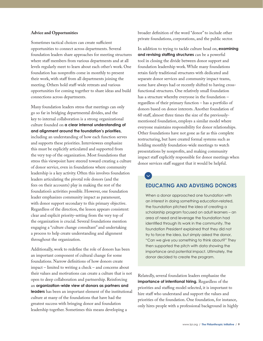#### **Advice and Opportunities**

Sometimes tactical choices can create sufficient opportunities to connect across departments. Several foundation leaders share approaches for meeting structures where staff members from various departments and at all levels regularly meet to learn about each other's work. One foundation has nonprofits come in monthly to present their work, with staff from all departments joining the meeting. Others hold staff-wide retreats and various opportunities for coming together to share ideas and build connections across departments.

Many foundation leaders stress that meetings can only go so far in bridging departmental divides, and the key to internal collaboration is a strong organizational culture founded on **a clear internal understanding of and alignment around the foundation's priorities,** including an understanding of how each function serves and supports these priorities. Interviewees emphasize this must be explicitly articulated and supported from the very top of the organization. Most foundations that stress this viewpoint have steered toward creating a culture of donor service, even in foundations where community leadership is a key activity. Often this involves foundation leaders articulating the pivotal role donors (and the fees on their accounts) play in making the rest of the foundation's activities possible. However, one foundation leader emphasizes community impact as paramount, with donor support secondary to this primary objective. Regardless of the direction, the lesson appears consistent: clear and explicit priority-setting from the very top of the organization is crucial. Several foundations mention engaging a "culture change consultant" and undertaking a process to help create understanding and alignment throughout the organization.

Additionally, work to redefine the role of donors has been an important component of cultural change for some foundations. Narrow definitions of how donors create impact – limited to writing a check – and concerns about their values and motivations can create a culture that is not open to deep collaboration and partnership. Reinforcing an **organization-wide view of donors as partners and leaders** has been an important element of the institutional culture at many of the foundations that have had the greatest success with bringing donor and foundation leadership together. Sometimes this means developing a

broader definition of the word "donor" to include other private foundations, corporations, and the public sector.

In addition to trying to tackle culture head on, **examining and revising staffing structures** can be a powerful tool in closing the divide between donor support and foundation leadership work. While many foundations retain fairly traditional structures with dedicated and separate donor services and community impact teams, some have always had or recently shifted to having crossfunctional structures. One relatively small foundation has a structure whereby everyone in the foundation – regardless of their primary function – has a portfolio of donors based on donor interests. Another foundation of 60 staff, almost three times the size of the previouslymentioned foundation, employs a similar model where everyone maintains responsibility for donor relationships. Other foundations have not gone as far as this complete restructuring, but have created formal systems such as holding monthly foundation-wide meetings to watch presentations by nonprofits, and making community impact staff explicitly responsible for donor meetings when donor services staff suggest that it would be helpful.

## $\checkmark$

### **EDUCATING AND ADVISING DONORS**

When a donor approached one foundation with an interest in doing something education-related, the foundation pitched the idea of creating a scholarship program focused on adult learners – an area of need and leverage the foundation had identified through its work in the community. The foundation President explained that they did not try to force the idea, but simply asked the donor, "Can we give you something to think about?" They then supported the pitch with data showing the importance and potential impact. Ultimately, the donor decided to create the program.

Relatedly, several foundation leaders emphasize the **importance of intentional hiring.** Regardless of the priorities and staffing model selected, it is important to hire staff who understand and support the values and priorities of the foundation. One foundation, for instance, only hires people with a professional background in highly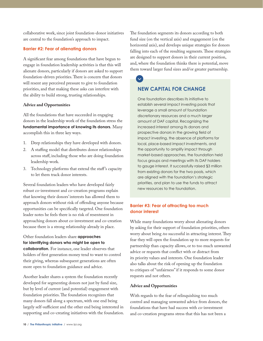collaborative work, since joint foundation-donor initiatives are central to the foundation's approach to impact.

#### **Barrier #2: Fear of alienating donors**

A significant fear among foundations that have begun to engage in foundation leadership activities is that this will alienate donors, particularly if donors are asked to support foundation-driven priorities. There is concern that donors will resent any perceived pressure to give to foundation priorities, and that making these asks can interfere with the ability to build strong, trusting relationships.

#### **Advice and Opportunities**

All the foundations that have succeeded in engaging donors in the leadership work of the foundation stress the **fundamental importance of knowing its donors.** Many accomplish this in three key ways.

- 1. Deep relationships they have developed with donors.
- 2. A staffing model that distributes donor relationships across staff, including those who are doing foundation leadership work.
- 3. Technology platforms that extend the staff 's capacity to let them track donor interests.

Several foundation leaders who have developed fairly robust co-investment and co-creation programs explain that knowing their donors' interests has allowed them to approach donors without risk of offending anyone because opportunities can be specifically targeted. One foundation leader notes he feels there is no risk of resentment in approaching donors about co-investment and co-creation because there is a strong relationship already in place.

Other foundation leaders share **approaches for identifying donors who might be open to collaboration.** For instance, one leader observes that holders of first generation money tend to want to control their giving, whereas subsequent generations are often more open to foundation guidance and advice.

Another leader shares a system the foundation recently developed for segmenting donors not just by fund size, but by level of current (and potential) engagement with foundation priorities. The foundation recognizes that many donors fall along a spectrum, with one end being largely self-sufficient and the other end being interested in supporting and co-creating initiatives with the foundation. The foundation segments its donors according to both fund size (on the vertical axis) and engagement (on the horizontal axis), and develops unique strategies for donors falling into each of the resulting segments. These strategies are designed to support donors in their current position, and, where the foundation thinks there is potential, move them toward larger fund sizes and/or greater partnership.

### **NEW CAPITAL FOR CHANGE**

One foundation describes its initiative to establish several impact investing pools that leverage a small amount of foundation discretionary resources and a much larger amount of DAF capital. Recognizing the increased interest among its donors and prospective donors in the growing field of impact investing, the absence of platforms for local, place-based impact investments, and the opportunity to amplify impact through market-based approaches, the foundation held focus groups and meetings with its DAF holders to gauge interest. It successfully raised \$3 million from existing donors for the two pools, which are aligned with the foundation's strategic priorities, and plan to use the funds to attract new resources to the foundation.

#### **Barrier #3: Fear of attracting too much donor interest**

While many foundations worry about alienating donors by asking for their support of foundation priorities, others worry about being *too* successful in attracting interest. They fear they will open the foundation up to more requests for partnership than capacity allows, or to too much unwanted advice or requests that conflict with or distract from its priority values and interests. One foundation leader also talks about the risk of opening up the foundation to critiques of "unfairness" if it responds to some donor requests and not others.

#### **Advice and Opportunities**

With regards to the fear of relinquishing too much control and managing unwanted advice from donors, the foundations that have had success with co-investment and co-creation programs stress that this has not been a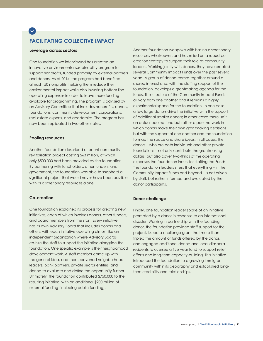## **FACILITATING COLLECTIVE IMPACT**

#### **Leverage across sectors**

 $\checkmark$ 

One foundation we interviewed has created an innovative environmental sustainability program to support nonprofits, funded primarily by external partners and donors. As of 2014, the program had benefited almost 150 nonprofits, helping them reduce their environmental impact while also lowering bottom line operating expenses in order to leave more funding available for programming. The program is advised by an Advisory Committee that includes nonprofits, donors, foundations, community development corporations, real estate experts, and academics. The program has now been replicated in two other states.

#### **Pooling resources**

Another foundation described a recent community revitalization project costing \$63 million, of which only \$500,000 had been provided by the foundation. By partnering with fundholders, other funders, and government, the foundation was able to shepherd a significant project that would never have been possible with its discretionary resources alone.

#### **Co-creation**

One foundation explained its process for creating new initiatives, each of which involves donors, other funders, and board members from the start. Every initiative has its own Advisory Board that includes donors and others, with each initiative operating almost like an independent organization where Advisory Boards co-hire the staff to support the initiative alongside the foundation. One specific example is their neighborhood development work. A staff member came up with the general idea, and then convened neighborhood leaders, bank partners, private sector entities, and donors to evaluate and define the opportunity further. Ultimately, the foundation contributed \$750,000 to the resulting initiative, with an additional \$900 million of external funding (including public funding).

Another foundation we spoke with has no discretionary resources whatsoever, and has relied on a robust cocreation strategy to support their role as community leaders. Working jointly with donors, they have created several Community Impact Funds over the past several years. A group of donors comes together around a shared interest and, with the staffing support of the foundation, develops a grantmaking agenda for the funds. The structure of the Community Impact Funds all vary from one another and it remains a highly experimental space for the foundation. In one case, a few large donors drive the initiative with the support of additional smaller donors; in other cases there isn't an actual pooled fund but rather a peer network in which donors make their own grantmaking decisions but with the support of one another and the foundation to map the space and share ideas. In all cases, the donors – who are both individuals and other private foundations – not only contribute the grantmaking dollars, but also cover two-thirds of the operating expenses the foundation incurs for staffing the Funds. The foundation leaders stress that everything – in the Community Impact Funds and beyond – is not driven by staff, but rather informed and evaluated by the donor participants.

#### **Donor challenge**

Finally, one foundation leader spoke of an initiative prompted by a donor in response to an international disaster. Working in partnership with the founding donor, the foundation provided staff support for the project, issued a challenge grant that more than tripled the amount of funds offered by the donor, and engaged additional donors and local diaspora residents to oversee a five-year fund to support relief efforts and long-term capacity-building. This initiative introduced the foundation to a growing immigrant community within its geography and established longterm credibility and relationships.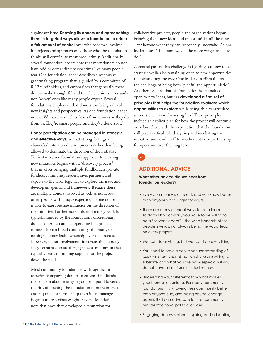significant issue. **Knowing its donors and approaching them in targeted ways allows a foundation to retain a fair amount of control** over who becomes involved in projects and approach only those who the foundation thinks will contribute most productively. Additionally, several foundation leaders note that most donors do not have odd or demanding perspectives like many people fear. One foundation leader describes a responsive grantmaking program that is guided by a committee of 8-12 fundholders, and emphasizes that generally these donors make thoughtful and terrific decisions – certainly not "kooky" ones like many people expect. Several foundations emphasize that donors can bring valuable new insights and perspectives. As one foundation leader notes, "We have as much to learn from donors as they do from us. They're smart people, and they've done a lot."

**Donor participation can be managed in strategic and effective ways,** so that strong feelings are channeled into a productive process rather than being allowed to dominate the direction of the initiative. For instance, one foundation's approach to creating new initiatives begins with a "discovery process" that involves bringing multiple fundholders, private funders, community leaders, civic partners, and experts to the table together to explore the issue and develop an agenda and framework. Because there are multiple donors involved as well as numerous other people with unique expertise, no one donor is able to exert outsize influence on the direction of the initiative. Furthermore, this exploratory work is typically funded by the foundation's discretionary dollars and/or an annual operating budget that is raised from a broad community of donors, so no single donor feels ownership over the process. However, donor involvement in co-creation at early stages creates a sense of engagement and buy-in that typically leads to funding support for the project down the road.

Most community foundations with significant experience engaging donors in co-creation dismiss the concern about managing donor input. However, the risk of opening the foundation to more interest and requests for partnership than it can manage is given more serious weight. Several foundations note that once they developed a reputation for

collaborative projects, people and organizations began bringing them new ideas and opportunities all the time – far beyond what they can reasonably undertake. As one leader notes, "The more we do, the more we get asked to do."

A central part of this challenge is figuring out how to be strategic while also remaining open to new opportunities that arise along the way. One leader describes this as the challenge of being both "planful and opportunistic." Another explains that his foundation has remained open to new ideas, but has **developed a firm set of principles that helps the foundation evaluate which opportunities to explore** while being able to articulate a consistent reason for saying "no." These principles include an explicit plan for how the project will continue once launched, with the expectation that the foundation will play a critical role designing and incubating the initiative and hand it off to another entity or partnership for operation over the long term.

### **ADDITIONAL ADVICE**

**What other advice did we hear from foundation leaders?**

- Every community is different, and you know better than anyone what is right for yours.
- There are many different ways to be a leader. To do this kind of work, you have to be willing to be a "servant leader" – the wind beneath other people's wings, not always being the vocal lead on every project.
- We can do anything, but we can't do everything.
- You need to have a very clear understanding of costs, and be clear about what you are willing to subsidize and what you are not – especially if you do not have a lot of unrestricted money.
- Understand your differentiator what makes your foundation unique. For many community foundations, it is knowing their community better than anyone else, and being neutral change agents that can advocate for the community outside traditional political divides.
- Engaging donors is about inspiring and educating.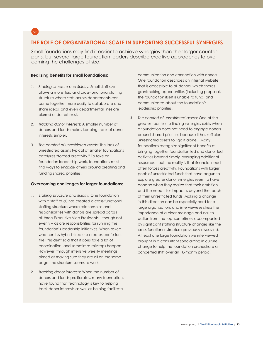

### **THE ROLE OF ORGANIZATIONAL SCALE IN SUPPORTING SUCCESSFUL SYNERGIES**

Small foundations may find it easier to achieve synergies than their larger counterparts, but several large foundation leaders describe creative approaches to overcoming the challenges of size.

#### **Realizing benefits for small foundations:**

- *1. Staffing structure and fluidity:* Small staff size allows a more fluid and cross-functional staffing structure where staff across departments can come together more easily to collaborate and share ideas, and even departmental lines are blurred or do not exist.
- *2. Tracking donor interests:* A smaller number of donors and funds makes keeping track of donor interests simpler.
- *3. The comfort of unrestricted assets:* The lack of unrestricted assets typical at smaller foundations catalyzes "forced creativity." To take on foundation leadership work, foundations must find ways to engage others around creating and funding shared priorities.

#### **Overcoming challenges for larger foundations:**

- *1. Staffing structure and fluidity:* One foundation with a staff of 60 has created a cross-functional staffing structure where relationships and responsibilities with donors are spread across all three Executive Vice Presidents – though not evenly – as are responsibilities for running the foundation's leadership initiatives. When asked whether this hybrid structure creates confusion, the President said that it does take a lot of coordination, and sometimes missteps happen. However, through intensive weekly meetings aimed at making sure they are all on the same page, the structure seems to work.
- *2. Tracking donor interests:* When the number of donors and funds proliferates, many foundations have found that technology is key to helping track donor interests as well as helping facilitate

communication and connection with donors. One foundation describes an internal website that is accessible to all donors, which shares grantmaking opportunities (including proposals the foundation itself is unable to fund) and communicates about the foundation's leadership priorities.

*3. The comfort of unrestricted assets:* One of the greatest barriers to finding synergies exists when a foundation does not need to engage donors around shared priorities because it has sufficient unrestricted assets to "go it alone." Many foundations recognize significant benefits of bringing together foundation-led and donor-led activities beyond simply leveraging additional resources – but the reality is that financial need often forces creativity. Foundations with larger pools of unrestricted funds that have begun to explore greater donor synergies seem to have done so when they realize that their ambition – and the need – for impact is beyond the reach of their unrestricted funds. Making a change in this direction can be especially hard for a large organization, and interviewees stress the importance of a clear message and call to action from the top, sometimes accompanied by significant staffing structure changes like the cross-functional structure previously discussed. At least one large foundation we interviewed brought in a consultant specializing in culture change to help the foundation orchestrate a concerted shift over an 18-month period.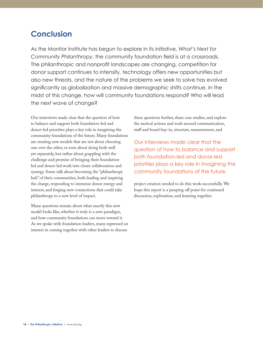## **Conclusion**

As the Monitor Institute has begun to explore in its initiative, *What's Next for Community Philanthropy*, the community foundation field is at a crossroads. The philanthropic and nonprofit landscapes are changing, competition for donor support continues to intensify, technology offers new opportunities but also new threats, and the nature of the problems we seek to solve has evolved significantly as globalization and massive demographic shifts continue. In the midst of this change, how will community foundations respond? Who will lead the next wave of change?

Our interviews made clear that the question of how to balance and support both foundation-led and donor-led priorities plays a key role in imagining the community foundations of the future. Many foundations are creating new models that are not about choosing one over the other, or even about doing both well yet separately, but rather about grappling with the challenge and promise of bringing their foundationled and donor-led work into closer collaboration and synergy. Some talk about becoming the "philanthropy hub" of their communities, both leading and inspiring the charge, responding to immense donor energy and interest, and forging new connections that could take philanthropy to a new level of impact.

Many questions remain about what exactly this new model looks like, whether it truly is a new paradigm, and how community foundations can move toward it. As we spoke with foundation leaders, many expressed an interest in coming together with other leaders to discuss

these questions further, share case studies, and explore the tactical actions and tools around communication, staff and board buy-in, structure, measurement, and

Our interviews made clear that the question of how to balance and support both foundation-led and donor-led priorities plays a key role in imagining the community foundations of the future.

project creation needed to do this work successfully. We hope this report is a jumping off point for continued discussion, exploration, and learning together.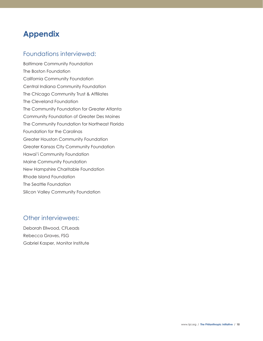## **Appendix**

## Foundations interviewed:

Baltimore Community Foundation The Boston Foundation California Community Foundation Central Indiana Community Foundation The Chicago Community Trust & Affiliates The Cleveland Foundation The Community Foundation for Greater Atlanta Community Foundation of Greater Des Moines The Community Foundation for Northeast Florida Foundation for the Carolinas Greater Houston Community Foundation Greater Kansas City Community Foundation Hawai'i Community Foundation Maine Community Foundation New Hampshire Charitable Foundation Rhode Island Foundation The Seattle Foundation Silicon Valley Community Foundation

## Other interviewees:

Deborah Ellwood, CFLeads Rebecca Graves, FSG Gabriel Kasper, Monitor Institute